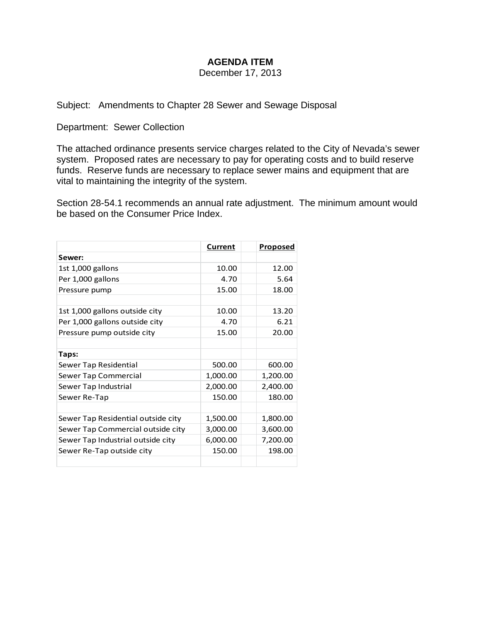## **AGENDA ITEM**

December 17, 2013

# Subject: Amendments to Chapter 28 Sewer and Sewage Disposal

Department: Sewer Collection

The attached ordinance presents service charges related to the City of Nevada's sewer system. Proposed rates are necessary to pay for operating costs and to build reserve funds. Reserve funds are necessary to replace sewer mains and equipment that are vital to maintaining the integrity of the system.

Section 28-54.1 recommends an annual rate adjustment. The minimum amount would be based on the Consumer Price Index.

|                                    | Current  | <b>Proposed</b> |
|------------------------------------|----------|-----------------|
| Sewer:                             |          |                 |
| 1st 1,000 gallons                  | 10.00    | 12.00           |
| Per 1,000 gallons                  | 4.70     | 5.64            |
| Pressure pump                      | 15.00    | 18.00           |
|                                    |          |                 |
| 1st 1,000 gallons outside city     | 10.00    | 13.20           |
| Per 1,000 gallons outside city     | 4.70     | 6.21            |
| Pressure pump outside city         | 15.00    | 20.00           |
|                                    |          |                 |
| Taps:                              |          |                 |
| Sewer Tap Residential              | 500.00   | 600.00          |
| Sewer Tap Commercial               | 1,000.00 | 1,200.00        |
| Sewer Tap Industrial               | 2,000.00 | 2,400.00        |
| Sewer Re-Tap                       | 150.00   | 180.00          |
|                                    |          |                 |
| Sewer Tap Residential outside city | 1,500.00 | 1,800.00        |
| Sewer Tap Commercial outside city  | 3,000.00 | 3,600.00        |
| Sewer Tap Industrial outside city  | 6,000.00 | 7,200.00        |
| Sewer Re-Tap outside city          | 150.00   | 198.00          |
|                                    |          |                 |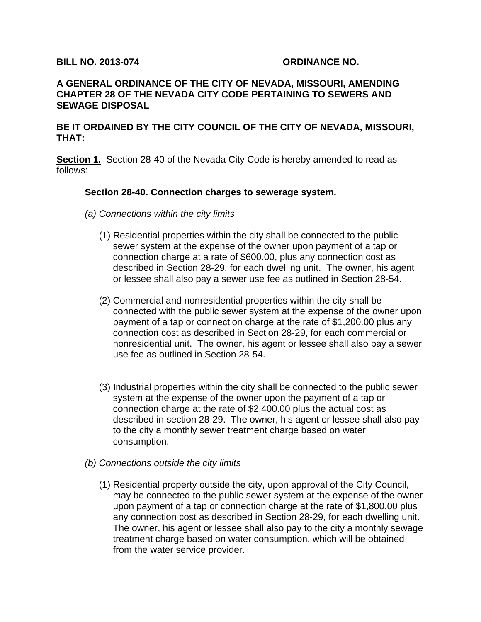#### **BILL NO. 2013-074 ORDINANCE NO.**

#### **A GENERAL ORDINANCE OF THE CITY OF NEVADA, MISSOURI, AMENDING CHAPTER 28 OF THE NEVADA CITY CODE PERTAINING TO SEWERS AND SEWAGE DISPOSAL**

#### **BE IT ORDAINED BY THE CITY COUNCIL OF THE CITY OF NEVADA, MISSOURI, THAT:**

**Section 1.** Section 28-40 of the Nevada City Code is hereby amended to read as follows:

#### **Section 28-40. Connection charges to sewerage system.**

- *(a) Connections within the city limits* 
	- (1) Residential properties within the city shall be connected to the public sewer system at the expense of the owner upon payment of a tap or connection charge at a rate of \$600.00, plus any connection cost as described in Section 28-29, for each dwelling unit. The owner, his agent or lessee shall also pay a sewer use fee as outlined in Section 28-54.
	- (2) Commercial and nonresidential properties within the city shall be connected with the public sewer system at the expense of the owner upon payment of a tap or connection charge at the rate of \$1,200.00 plus any connection cost as described in Section 28-29, for each commercial or nonresidential unit. The owner, his agent or lessee shall also pay a sewer use fee as outlined in Section 28-54.
	- (3) Industrial properties within the city shall be connected to the public sewer system at the expense of the owner upon the payment of a tap or connection charge at the rate of \$2,400.00 plus the actual cost as described in section 28-29. The owner, his agent or lessee shall also pay to the city a monthly sewer treatment charge based on water consumption.
- *(b) Connections outside the city limits* 
	- (1) Residential property outside the city, upon approval of the City Council, may be connected to the public sewer system at the expense of the owner upon payment of a tap or connection charge at the rate of \$1,800.00 plus any connection cost as described in Section 28-29, for each dwelling unit. The owner, his agent or lessee shall also pay to the city a monthly sewage treatment charge based on water consumption, which will be obtained from the water service provider.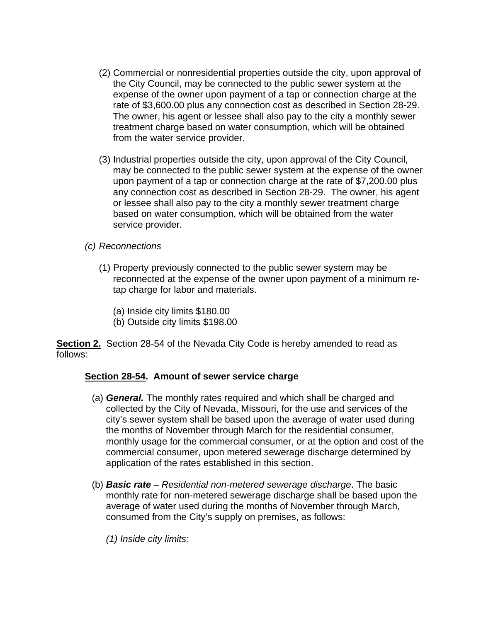- (2) Commercial or nonresidential properties outside the city, upon approval of the City Council, may be connected to the public sewer system at the expense of the owner upon payment of a tap or connection charge at the rate of \$3,600.00 plus any connection cost as described in Section 28-29. The owner, his agent or lessee shall also pay to the city a monthly sewer treatment charge based on water consumption, which will be obtained from the water service provider.
- (3) Industrial properties outside the city, upon approval of the City Council, may be connected to the public sewer system at the expense of the owner upon payment of a tap or connection charge at the rate of \$7,200.00 plus any connection cost as described in Section 28-29. The owner, his agent or lessee shall also pay to the city a monthly sewer treatment charge based on water consumption, which will be obtained from the water service provider.
- *(c) Reconnections* 
	- (1) Property previously connected to the public sewer system may be reconnected at the expense of the owner upon payment of a minimum retap charge for labor and materials.
		- (a) Inside city limits \$180.00
		- (b) Outside city limits \$198.00

**Section 2.** Section 28-54 of the Nevada City Code is hereby amended to read as follows:

## **Section 28-54. Amount of sewer service charge**

- (a) *General.* The monthly rates required and which shall be charged and collected by the City of Nevada, Missouri, for the use and services of the city's sewer system shall be based upon the average of water used during the months of November through March for the residential consumer, monthly usage for the commercial consumer, or at the option and cost of the commercial consumer, upon metered sewerage discharge determined by application of the rates established in this section.
- (b) *Basic rate Residential non-metered sewerage discharge*. The basic monthly rate for non-metered sewerage discharge shall be based upon the average of water used during the months of November through March, consumed from the City's supply on premises, as follows:
	- *(1) Inside city limits:*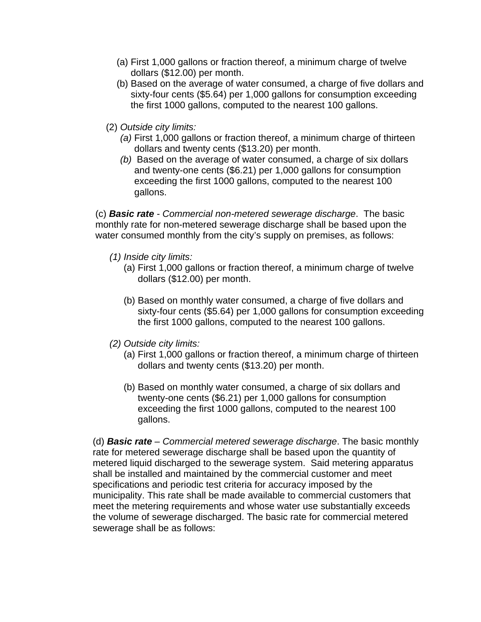- (a) First 1,000 gallons or fraction thereof, a minimum charge of twelve dollars (\$12.00) per month.
- (b) Based on the average of water consumed, a charge of five dollars and sixty-four cents (\$5.64) per 1,000 gallons for consumption exceeding the first 1000 gallons, computed to the nearest 100 gallons.
- (2) *Outside city limits:* 
	- *(a)* First 1,000 gallons or fraction thereof, a minimum charge of thirteen dollars and twenty cents (\$13.20) per month.
	- *(b)* Based on the average of water consumed, a charge of six dollars and twenty-one cents (\$6.21) per 1,000 gallons for consumption exceeding the first 1000 gallons, computed to the nearest 100 gallons.

(c) *Basic rate - Commercial non-metered sewerage discharge*. The basic monthly rate for non-metered sewerage discharge shall be based upon the water consumed monthly from the city's supply on premises, as follows:

- *(1) Inside city limits:* 
	- (a) First 1,000 gallons or fraction thereof, a minimum charge of twelve dollars (\$12.00) per month.
	- (b) Based on monthly water consumed, a charge of five dollars and sixty-four cents (\$5.64) per 1,000 gallons for consumption exceeding the first 1000 gallons, computed to the nearest 100 gallons.
- *(2) Outside city limits:* 
	- (a) First 1,000 gallons or fraction thereof, a minimum charge of thirteen dollars and twenty cents (\$13.20) per month.
	- (b) Based on monthly water consumed, a charge of six dollars and twenty-one cents (\$6.21) per 1,000 gallons for consumption exceeding the first 1000 gallons, computed to the nearest 100 gallons.

(d) *Basic rate – Commercial metered sewerage discharge*. The basic monthly rate for metered sewerage discharge shall be based upon the quantity of metered liquid discharged to the sewerage system. Said metering apparatus shall be installed and maintained by the commercial customer and meet specifications and periodic test criteria for accuracy imposed by the municipality. This rate shall be made available to commercial customers that meet the metering requirements and whose water use substantially exceeds the volume of sewerage discharged. The basic rate for commercial metered sewerage shall be as follows: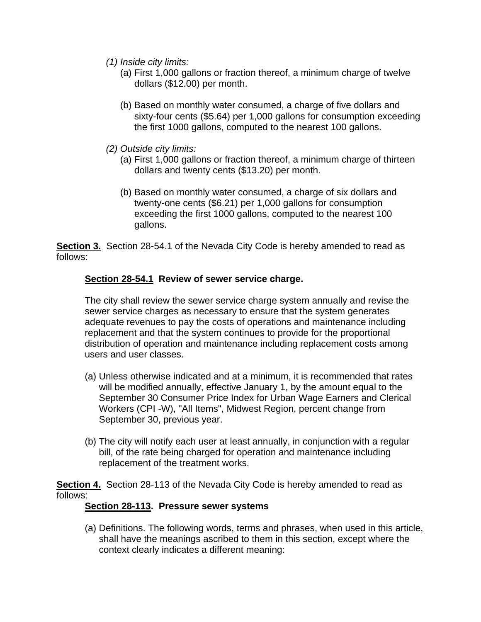- *(1) Inside city limits:* 
	- (a) First 1,000 gallons or fraction thereof, a minimum charge of twelve dollars (\$12.00) per month.
	- (b) Based on monthly water consumed, a charge of five dollars and sixty-four cents (\$5.64) per 1,000 gallons for consumption exceeding the first 1000 gallons, computed to the nearest 100 gallons.
- *(2) Outside city limits:* 
	- (a) First 1,000 gallons or fraction thereof, a minimum charge of thirteen dollars and twenty cents (\$13.20) per month.
	- (b) Based on monthly water consumed, a charge of six dollars and twenty-one cents (\$6.21) per 1,000 gallons for consumption exceeding the first 1000 gallons, computed to the nearest 100 gallons.

**Section 3.** Section 28-54.1 of the Nevada City Code is hereby amended to read as follows:

# **Section 28-54.1 Review of sewer service charge.**

The city shall review the sewer service charge system annually and revise the sewer service charges as necessary to ensure that the system generates adequate revenues to pay the costs of operations and maintenance including replacement and that the system continues to provide for the proportional distribution of operation and maintenance including replacement costs among users and user classes.

- (a) Unless otherwise indicated and at a minimum, it is recommended that rates will be modified annually, effective January 1, by the amount equal to the September 30 Consumer Price Index for Urban Wage Earners and Clerical Workers (CPI -W), "All Items", Midwest Region, percent change from September 30, previous year.
- (b) The city will notify each user at least annually, in conjunction with a regular bill, of the rate being charged for operation and maintenance including replacement of the treatment works.

**Section 4.** Section 28-113 of the Nevada City Code is hereby amended to read as follows:

## **Section 28-113. Pressure sewer systems**

(a) Definitions. The following words, terms and phrases, when used in this article, shall have the meanings ascribed to them in this section, except where the context clearly indicates a different meaning: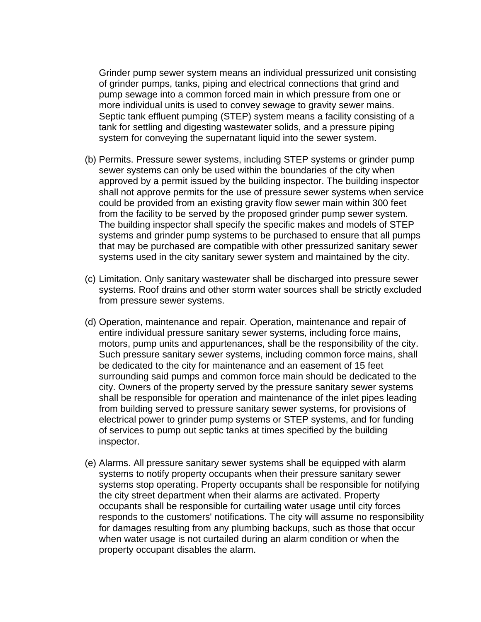Grinder pump sewer system means an individual pressurized unit consisting of grinder pumps, tanks, piping and electrical connections that grind and pump sewage into a common forced main in which pressure from one or more individual units is used to convey sewage to gravity sewer mains. Septic tank effluent pumping (STEP) system means a facility consisting of a tank for settling and digesting wastewater solids, and a pressure piping system for conveying the supernatant liquid into the sewer system.

- (b) Permits. Pressure sewer systems, including STEP systems or grinder pump sewer systems can only be used within the boundaries of the city when approved by a permit issued by the building inspector. The building inspector shall not approve permits for the use of pressure sewer systems when service could be provided from an existing gravity flow sewer main within 300 feet from the facility to be served by the proposed grinder pump sewer system. The building inspector shall specify the specific makes and models of STEP systems and grinder pump systems to be purchased to ensure that all pumps that may be purchased are compatible with other pressurized sanitary sewer systems used in the city sanitary sewer system and maintained by the city.
- (c) Limitation. Only sanitary wastewater shall be discharged into pressure sewer systems. Roof drains and other storm water sources shall be strictly excluded from pressure sewer systems.
- (d) Operation, maintenance and repair. Operation, maintenance and repair of entire individual pressure sanitary sewer systems, including force mains, motors, pump units and appurtenances, shall be the responsibility of the city. Such pressure sanitary sewer systems, including common force mains, shall be dedicated to the city for maintenance and an easement of 15 feet surrounding said pumps and common force main should be dedicated to the city. Owners of the property served by the pressure sanitary sewer systems shall be responsible for operation and maintenance of the inlet pipes leading from building served to pressure sanitary sewer systems, for provisions of electrical power to grinder pump systems or STEP systems, and for funding of services to pump out septic tanks at times specified by the building inspector.
- (e) Alarms. All pressure sanitary sewer systems shall be equipped with alarm systems to notify property occupants when their pressure sanitary sewer systems stop operating. Property occupants shall be responsible for notifying the city street department when their alarms are activated. Property occupants shall be responsible for curtailing water usage until city forces responds to the customers' notifications. The city will assume no responsibility for damages resulting from any plumbing backups, such as those that occur when water usage is not curtailed during an alarm condition or when the property occupant disables the alarm.